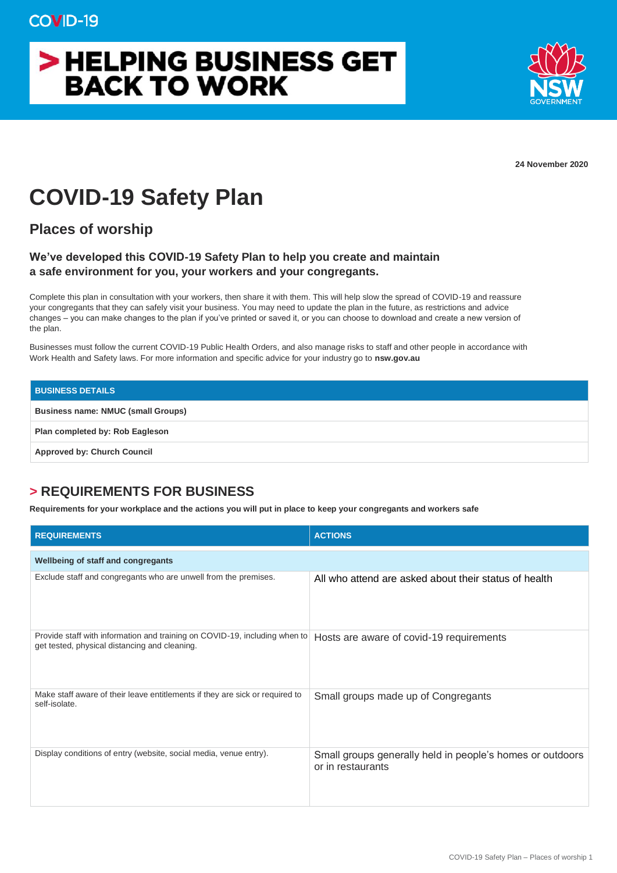## > HELPING BUSINESS GET **BACK TO WORK**



**24 November 2020**

## **COVID-19 Safety Plan**

**Places of worship**

## **We've developed this COVID-19 Safety Plan to help you create and maintain a safe environment for you, your workers and your congregants.**

Complete this plan in consultation with your workers, then share it with them. This will help slow the spread of COVID-19 and reassure your congregants that they can safely visit your business. You may need to update the plan in the future, as restrictions and advice changes – you can make changes to the plan if you've printed or saved it, or you can choose to download and create a new version of the plan.

Businesses must follow the current COVID-19 Public Health Orders, and also manage risks to staff and other people in accordance with Work Health and Safety laws. For more information and specific advice for your industry go to **nsw.gov.au**

| <b>BUSINESS DETAILS</b>                   |
|-------------------------------------------|
| <b>Business name: NMUC (small Groups)</b> |
| Plan completed by: Rob Eagleson           |
| <b>Approved by: Church Council</b>        |

## **> REQUIREMENTS FOR BUSINESS**

**Requirements for your workplace and the actions you will put in place to keep your congregants and workers safe**

| <b>REQUIREMENTS</b>                                                                                                         | <b>ACTIONS</b>                                                                 |  |
|-----------------------------------------------------------------------------------------------------------------------------|--------------------------------------------------------------------------------|--|
| <b>Wellbeing of staff and congregants</b>                                                                                   |                                                                                |  |
| Exclude staff and congregants who are unwell from the premises.                                                             | All who attend are asked about their status of health                          |  |
| Provide staff with information and training on COVID-19, including when to<br>get tested, physical distancing and cleaning. | Hosts are aware of covid-19 requirements                                       |  |
| Make staff aware of their leave entitlements if they are sick or required to<br>self-isolate.                               | Small groups made up of Congregants                                            |  |
| Display conditions of entry (website, social media, venue entry).                                                           | Small groups generally held in people's homes or outdoors<br>or in restaurants |  |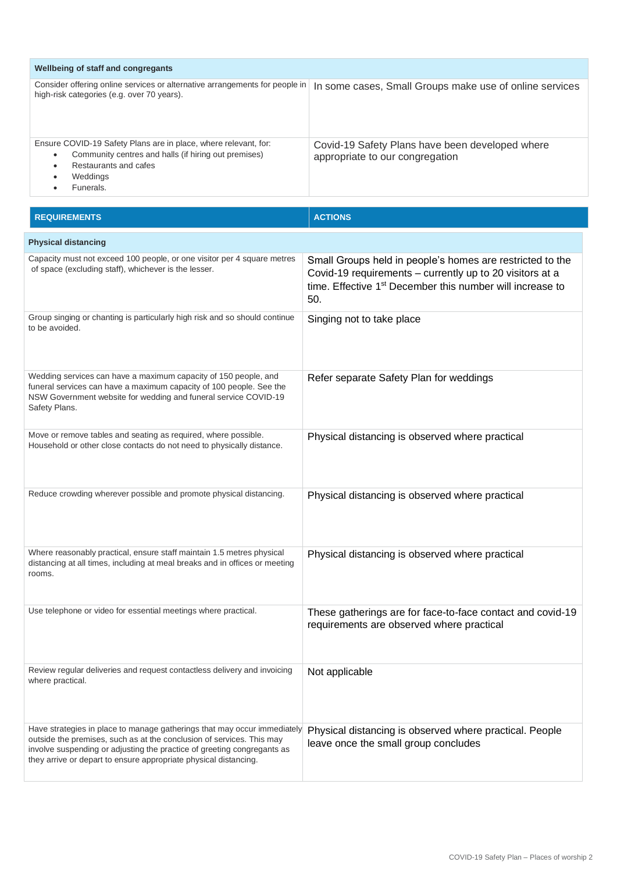| Wellbeing of staff and congregants                                                                                                                                             |                                                                                    |  |
|--------------------------------------------------------------------------------------------------------------------------------------------------------------------------------|------------------------------------------------------------------------------------|--|
| Consider offering online services or alternative arrangements for people in<br>high-risk categories (e.g. over 70 years).                                                      | In some cases, Small Groups make use of online services                            |  |
| Ensure COVID-19 Safety Plans are in place, where relevant, for:<br>Community centres and halls (if hiring out premises)<br>٠<br>Restaurants and cafes<br>Weddings<br>Funerals. | Covid-19 Safety Plans have been developed where<br>appropriate to our congregation |  |

| <b>REQUIREMENTS</b>                                                                                                                                                                                                                                                                              | <b>ACTIONS</b>                                                                                                                                                                                        |  |
|--------------------------------------------------------------------------------------------------------------------------------------------------------------------------------------------------------------------------------------------------------------------------------------------------|-------------------------------------------------------------------------------------------------------------------------------------------------------------------------------------------------------|--|
| <b>Physical distancing</b>                                                                                                                                                                                                                                                                       |                                                                                                                                                                                                       |  |
| Capacity must not exceed 100 people, or one visitor per 4 square metres<br>of space (excluding staff), whichever is the lesser.                                                                                                                                                                  | Small Groups held in people's homes are restricted to the<br>Covid-19 requirements - currently up to 20 visitors at a<br>time. Effective 1 <sup>st</sup> December this number will increase to<br>50. |  |
| Group singing or chanting is particularly high risk and so should continue<br>to be avoided.                                                                                                                                                                                                     | Singing not to take place                                                                                                                                                                             |  |
| Wedding services can have a maximum capacity of 150 people, and<br>funeral services can have a maximum capacity of 100 people. See the<br>NSW Government website for wedding and funeral service COVID-19<br>Safety Plans.                                                                       | Refer separate Safety Plan for weddings                                                                                                                                                               |  |
| Move or remove tables and seating as required, where possible.<br>Household or other close contacts do not need to physically distance.                                                                                                                                                          | Physical distancing is observed where practical                                                                                                                                                       |  |
| Reduce crowding wherever possible and promote physical distancing.                                                                                                                                                                                                                               | Physical distancing is observed where practical                                                                                                                                                       |  |
| Where reasonably practical, ensure staff maintain 1.5 metres physical<br>distancing at all times, including at meal breaks and in offices or meeting<br>rooms.                                                                                                                                   | Physical distancing is observed where practical                                                                                                                                                       |  |
| Use telephone or video for essential meetings where practical.                                                                                                                                                                                                                                   | These gatherings are for face-to-face contact and covid-19<br>requirements are observed where practical                                                                                               |  |
| Review regular deliveries and request contactless delivery and invoicing<br>where practical.                                                                                                                                                                                                     | Not applicable                                                                                                                                                                                        |  |
| Have strategies in place to manage gatherings that may occur immediately<br>outside the premises, such as at the conclusion of services. This may<br>involve suspending or adjusting the practice of greeting congregants as<br>they arrive or depart to ensure appropriate physical distancing. | Physical distancing is observed where practical. People<br>leave once the small group concludes                                                                                                       |  |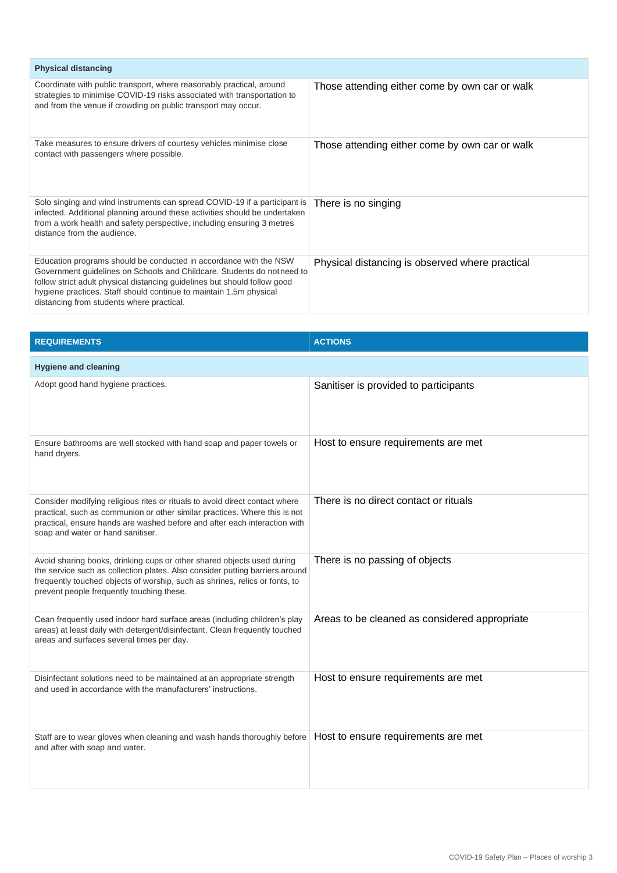| <b>Physical distancing</b>                                                                                                                                                                                                                                                                                                                   |                                                 |  |
|----------------------------------------------------------------------------------------------------------------------------------------------------------------------------------------------------------------------------------------------------------------------------------------------------------------------------------------------|-------------------------------------------------|--|
| Coordinate with public transport, where reasonably practical, around<br>strategies to minimise COVID-19 risks associated with transportation to<br>and from the venue if crowding on public transport may occur.                                                                                                                             | Those attending either come by own car or walk  |  |
| Take measures to ensure drivers of courtesy vehicles minimise close<br>contact with passengers where possible.                                                                                                                                                                                                                               | Those attending either come by own car or walk  |  |
| Solo singing and wind instruments can spread COVID-19 if a participant is<br>infected. Additional planning around these activities should be undertaken<br>from a work health and safety perspective, including ensuring 3 metres<br>distance from the audience.                                                                             | There is no singing                             |  |
| Education programs should be conducted in accordance with the NSW<br>Government guidelines on Schools and Childcare. Students do not need to<br>follow strict adult physical distancing guidelines but should follow good<br>hygiene practices. Staff should continue to maintain 1.5m physical<br>distancing from students where practical. | Physical distancing is observed where practical |  |

| <b>REQUIREMENTS</b>                                                                                                                                                                                                                                                                | <b>ACTIONS</b>                                |  |
|------------------------------------------------------------------------------------------------------------------------------------------------------------------------------------------------------------------------------------------------------------------------------------|-----------------------------------------------|--|
| <b>Hygiene and cleaning</b>                                                                                                                                                                                                                                                        |                                               |  |
| Adopt good hand hygiene practices.                                                                                                                                                                                                                                                 | Sanitiser is provided to participants         |  |
| Ensure bathrooms are well stocked with hand soap and paper towels or<br>hand dryers.                                                                                                                                                                                               | Host to ensure requirements are met           |  |
| Consider modifying religious rites or rituals to avoid direct contact where<br>practical, such as communion or other similar practices. Where this is not<br>practical, ensure hands are washed before and after each interaction with<br>soap and water or hand sanitiser.        | There is no direct contact or rituals         |  |
| Avoid sharing books, drinking cups or other shared objects used during<br>the service such as collection plates. Also consider putting barriers around<br>frequently touched objects of worship, such as shrines, relics or fonts, to<br>prevent people frequently touching these. | There is no passing of objects                |  |
| Cean frequently used indoor hard surface areas (including children's play<br>areas) at least daily with detergent/disinfectant. Clean frequently touched<br>areas and surfaces several times per day.                                                                              | Areas to be cleaned as considered appropriate |  |
| Disinfectant solutions need to be maintained at an appropriate strength<br>and used in accordance with the manufacturers' instructions.                                                                                                                                            | Host to ensure requirements are met           |  |
| Staff are to wear gloves when cleaning and wash hands thoroughly before   Host to ensure requirements are met<br>and after with soap and water.                                                                                                                                    |                                               |  |